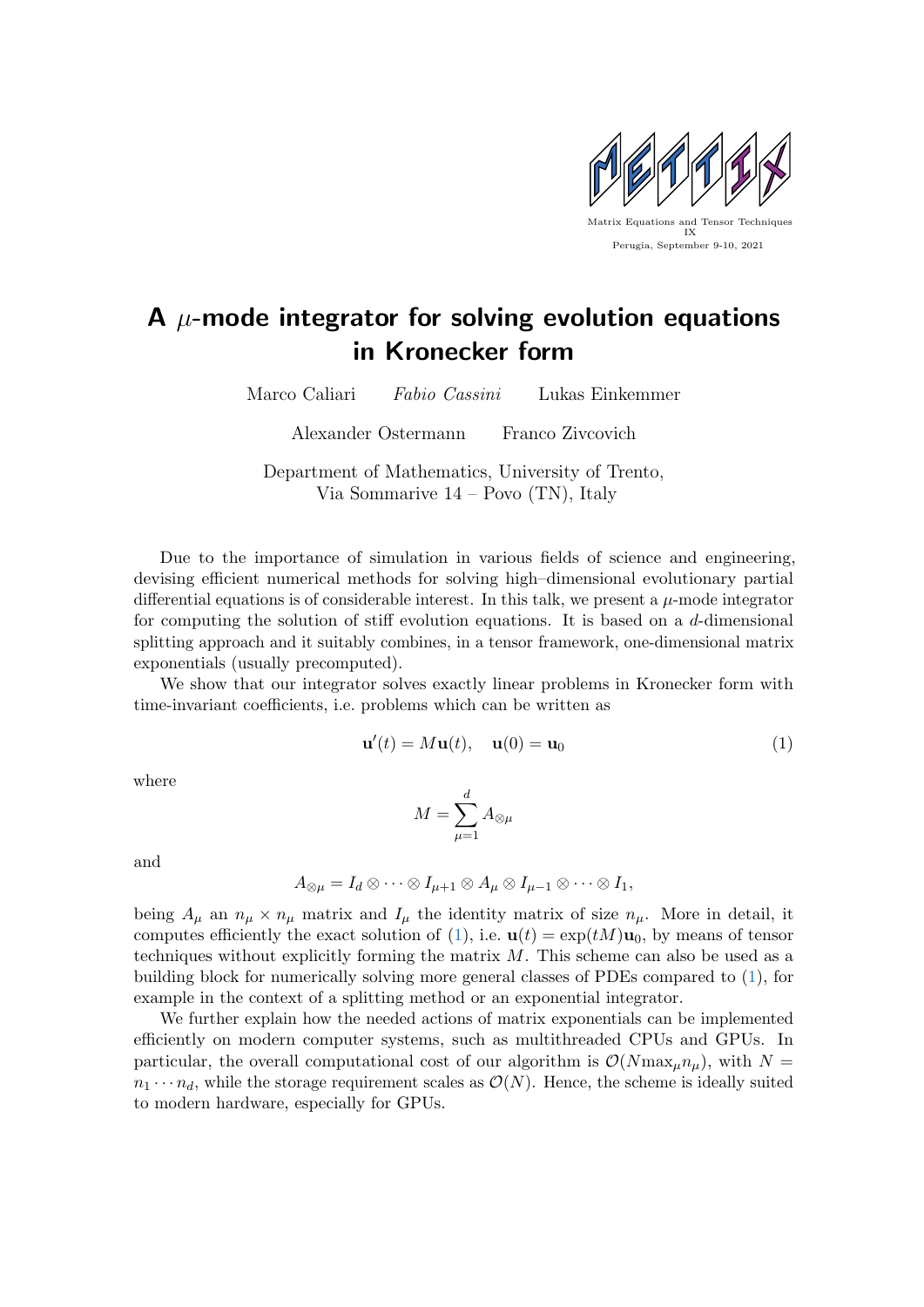

## A  $\mu$ -mode integrator for solving evolution equations in Kronecker form

Marco Caliari Fabio Cassini Lukas Einkemmer

Alexander Ostermann Franco Zivcovich

Department of Mathematics, University of Trento, Via Sommarive 14 – Povo (TN), Italy

Due to the importance of simulation in various fields of science and engineering, devising efficient numerical methods for solving high–dimensional evolutionary partial differential equations is of considerable interest. In this talk, we present a  $\mu$ -mode integrator for computing the solution of stiff evolution equations. It is based on a d-dimensional splitting approach and it suitably combines, in a tensor framework, one-dimensional matrix exponentials (usually precomputed).

We show that our integrator solves exactly linear problems in Kronecker form with time-invariant coefficients, i.e. problems which can be written as

<span id="page-0-0"></span>
$$
\mathbf{u}'(t) = M\mathbf{u}(t), \quad \mathbf{u}(0) = \mathbf{u}_0 \tag{1}
$$

where

$$
M=\sum_{\mu=1}^d A_{\otimes\mu}
$$

and

$$
A_{\otimes\mu} = I_d \otimes \cdots \otimes I_{\mu+1} \otimes A_{\mu} \otimes I_{\mu-1} \otimes \cdots \otimes I_1,
$$

being  $A_\mu$  an  $n_\mu \times n_\mu$  matrix and  $I_\mu$  the identity matrix of size  $n_\mu$ . More in detail, it computes efficiently the exact solution of [\(1\)](#page-0-0), i.e.  $\mathbf{u}(t) = \exp(tM)\mathbf{u}_0$ , by means of tensor techniques without explicitly forming the matrix  $M$ . This scheme can also be used as a building block for numerically solving more general classes of PDEs compared to [\(1\)](#page-0-0), for example in the context of a splitting method or an exponential integrator.

We further explain how the needed actions of matrix exponentials can be implemented efficiently on modern computer systems, such as multithreaded CPUs and GPUs. In particular, the overall computational cost of our algorithm is  $\mathcal{O}(N \max_{\mu} n_{\mu})$ , with  $N =$  $n_1 \cdots n_d$ , while the storage requirement scales as  $\mathcal{O}(N)$ . Hence, the scheme is ideally suited to modern hardware, especially for GPUs.